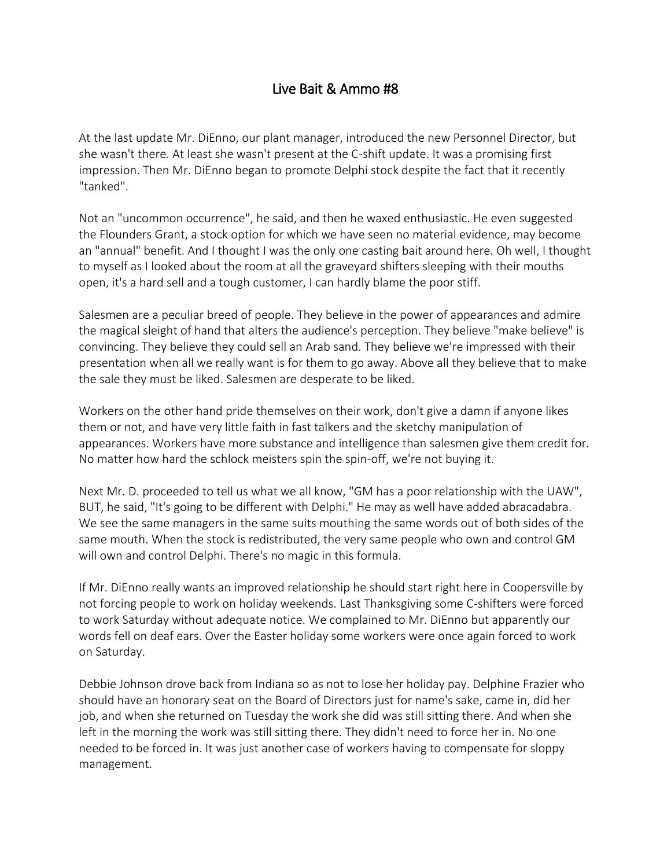## Live Bait & Ammo #8

At the last update Mr. DiEnno, our plant manager, introduced the new Personnel Director, but she wasn't there. At least she wasn't present at the C-shift update. It was a promising first impression. Then Mr. DiEnno began to promote Delphi stock despite the fact that it recently "tanked".

Not an "uncommon occurrence", he said, and then he waxed enthusiastic. He even suggested the Flounders Grant, a stock option for which we have seen no material evidence, may become an "annual" benefit. And I thought I was the only one casting bait around here. Oh well, I thought to myself as I looked about the room at all the graveyard shifters sleeping with their mouths open, it's a hard sell and a tough customer, I can hardly blame the poor stiff.

Salesmen are a peculiar breed of people. They believe in the power of appearances and admire the magical sleight of hand that alters the audience's perception. They believe "make believe" is convincing. They believe they could sell an Arab sand. They believe we're impressed with their presentation when all we really want is for them to go away. Above all they believe that to make the sale they must be liked. Salesmen are desperate to be liked.

Workers on the other hand pride themselves on their work, don't give a damn if anyone likes them or not, and have very little faith in fast talkers and the sketchy manipulation of appearances. Workers have more substance and intelligence than salesmen give them credit for. No matter how hard the schlock meisters spin the spin-off, we're not buying it.

Next Mr. D. proceeded to tell us what we all know, "GM has a poor relationship with the UAW", BUT, he said, "It's going to be different with Delphi." He may as well have added abracadabra. We see the same managers in the same suits mouthing the same words out of both sides of the same mouth. When the stock is redistributed, the very same people who own and control GM will own and control Delphi. There's no magic in this formula.

If Mr. DiEnno really wants an improved relationship he should start right here in Coopersville by not forcing people to work on holiday weekends. Last Thanksgiving some C-shifters were forced to work Saturday without adequate notice. We complained to Mr. DiEnno but apparently our words fell on deaf ears. Over the Easter holiday some workers were once again forced to work on Saturday.

Debbie Johnson drove back from Indiana so as not to lose her holiday pay. Delphine Frazier who should have an honorary seat on the Board of Directors just for name's sake, came in, did her job, and when she returned on Tuesday the work she did was still sitting there. And when she left in the morning the work was still sitting there. They didn't need to force her in. No one needed to be forced in. It was just another case of workers having to compensate for sloppy management.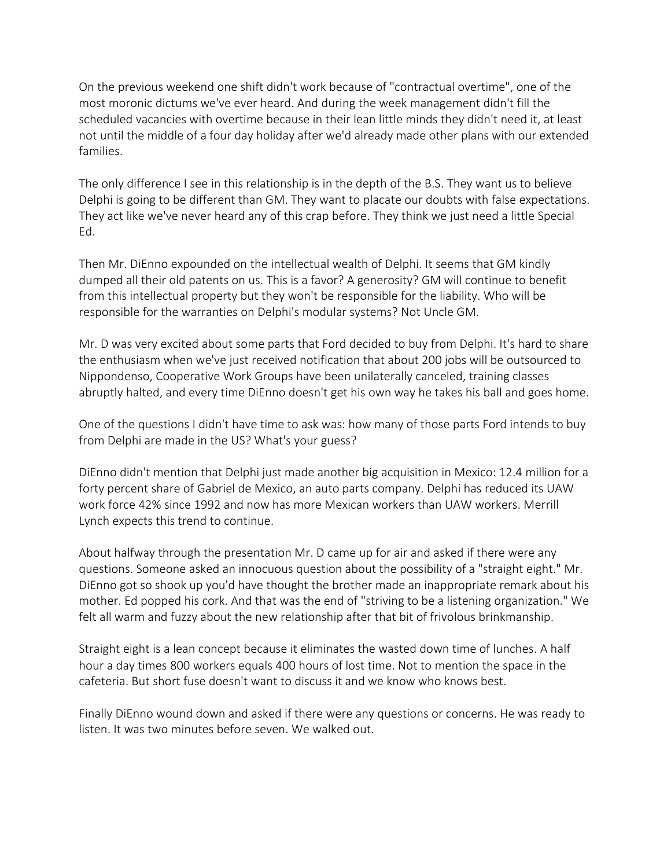On the previous weekend one shift didn't work because of "contractual overtime", one of the most moronic dictums we've ever heard. And during the week management didn't fill the scheduled vacancies with overtime because in their lean little minds they didn't need it, at least not until the middle of a four day holiday after we'd already made other plans with our extended families.

The only difference I see in this relationship is in the depth of the B.S. They want us to believe Delphi is going to be different than GM. They want to placate our doubts with false expectations. They act like we've never heard any of this crap before. They think we just need a little Special Ed.

Then Mr. DiEnno expounded on the intellectual wealth of Delphi. It seems that GM kindly dumped all their old patents on us. This is a favor? A generosity? GM will continue to benefit from this intellectual property but they won't be responsible for the liability. Who will be responsible for the warranties on Delphi's modular systems? Not Uncle GM.

Mr. D was very excited about some parts that Ford decided to buy from Delphi. It's hard to share the enthusiasm when we've just received notification that about 200 jobs will be outsourced to Nippondenso, Cooperative Work Groups have been unilaterally canceled, training classes abruptly halted, and every time DiEnno doesn't get his own way he takes his ball and goes home.

One of the questions I didn't have time to ask was: how many of those parts Ford intends to buy from Delphi are made in the US? What's your guess?

DiEnno didn't mention that Delphi just made another big acquisition in Mexico: 12.4 million for a forty percent share of Gabriel de Mexico, an auto parts company. Delphi has reduced its UAW work force 42% since 1992 and now has more Mexican workers than UAW workers. Merrill Lynch expects this trend to continue.

About halfway through the presentation Mr. D came up for air and asked if there were any questions. Someone asked an innocuous question about the possibility of a "straight eight." Mr. DiEnno got so shook up you'd have thought the brother made an inappropriate remark about his mother. Ed popped his cork. And that was the end of "striving to be a listening organization." We felt all warm and fuzzy about the new relationship after that bit of frivolous brinkmanship.

Straight eight is a lean concept because it eliminates the wasted down time of lunches. A half hour a day times 800 workers equals 400 hours of lost time. Not to mention the space in the cafeteria. But short fuse doesn't want to discuss it and we know who knows best.

Finally DiEnno wound down and asked if there were any questions or concerns. He was ready to listen. It was two minutes before seven. We walked out.